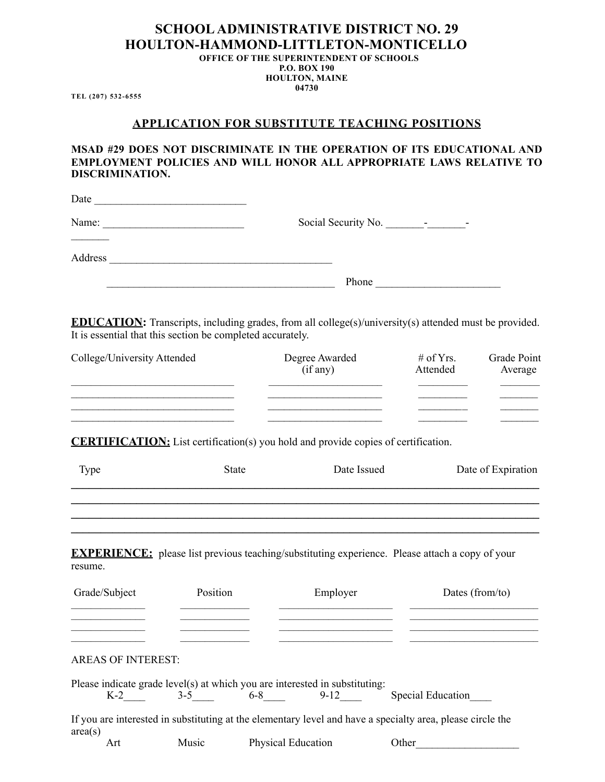# **SCHOOL ADMINISTRATIVE DISTRICT NO. 29 HOULTON-HAMMOND-LITTLETON-MONTICELLO**

**OFFICE OF THE SUPERINTENDENT OF SCHOOLS P.O. BOX 190 HOULTON, MAINE 04730**

**TEL (207) 532-6555** 

#### **APPLICATION FOR SUBSTITUTE TEACHING POSITIONS**

**MSAD #29 DOES NOT DISCRIMINATE IN THE OPERATION OF ITS EDUCATIONAL AND EMPLOYMENT POLICIES AND WILL HONOR ALL APPROPRIATE LAWS RELATIVE TO DISCRIMINATION.**

| Date    |                          |
|---------|--------------------------|
| Name:   | $\overline{\phantom{a}}$ |
| Address |                          |
|         | Phone                    |

**EDUCATION:** Transcripts, including grades, from all college(s)/university(s) attended must be provided. It is essential that this section be completed accurately.

| College/University Attended | Degree Awarded<br>(if any) | # of Yrs.<br>Attended | Grade Point<br>Average |  |
|-----------------------------|----------------------------|-----------------------|------------------------|--|
|                             |                            |                       |                        |  |
|                             |                            |                       |                        |  |
|                             |                            |                       |                        |  |

**CERTIFICATION:** List certification(s) you hold and provide copies of certification.

| Type                                                   |          | <b>State</b> | Date Issued                                                                                                       |       | Date of Expiration |
|--------------------------------------------------------|----------|--------------|-------------------------------------------------------------------------------------------------------------------|-------|--------------------|
|                                                        |          |              |                                                                                                                   |       |                    |
| resume.                                                |          |              | <b>EXPERIENCE:</b> please list previous teaching/substituting experience. Please attach a copy of your            |       |                    |
| Grade/Subject<br>and the control of the control of the | Position |              | Employer                                                                                                          |       | Dates (from/to)    |
| the control of the control of the control of           |          |              |                                                                                                                   |       |                    |
| <b>AREAS OF INTEREST:</b>                              |          |              |                                                                                                                   |       |                    |
|                                                        |          |              | Please indicate grade level(s) at which you are interested in substituting:<br>K-2 3-5 6-8 9-12 Special Education |       |                    |
| area(s)                                                |          |              | If you are interested in substituting at the elementary level and have a specialty area, please circle the        |       |                    |
| Art                                                    | Music    |              | Physical Education                                                                                                | Other |                    |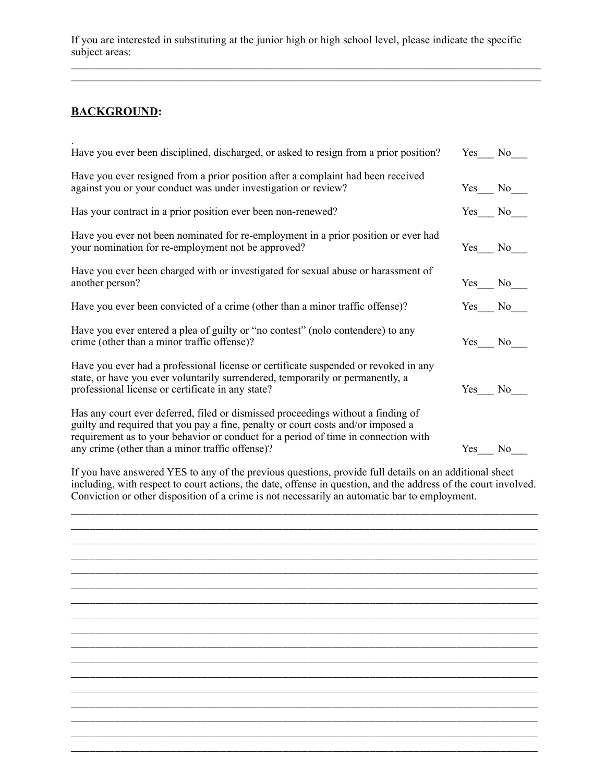If you are interested in substituting at the junior high or high school level, please indicate the specific subject areas:

 $\_$  , and the set of the set of the set of the set of the set of the set of the set of the set of the set of the set of the set of the set of the set of the set of the set of the set of the set of the set of the set of th  $\_$  , and the set of the set of the set of the set of the set of the set of the set of the set of the set of the set of the set of the set of the set of the set of the set of the set of the set of the set of the set of th

## **BACKGROUND:**

| Have you ever been disciplined, discharged, or asked to resign from a prior position?                                                                                                                                                                                                                         | Yes      | No. |
|---------------------------------------------------------------------------------------------------------------------------------------------------------------------------------------------------------------------------------------------------------------------------------------------------------------|----------|-----|
| Have you ever resigned from a prior position after a complaint had been received<br>against you or your conduct was under investigation or review?                                                                                                                                                            | Yes No   |     |
| Has your contract in a prior position ever been non-renewed?                                                                                                                                                                                                                                                  | Yes No   |     |
| Have you ever not been nominated for re-employment in a prior position or ever had<br>your nomination for re-employment not be approved?                                                                                                                                                                      | Yes No   |     |
| Have you ever been charged with or investigated for sexual abuse or harassment of<br>another person?                                                                                                                                                                                                          | $Yes$ No |     |
| Have you ever been convicted of a crime (other than a minor traffic offense)?                                                                                                                                                                                                                                 | $Yes$ No |     |
| Have you ever entered a plea of guilty or "no contest" (nolo contendere) to any<br>crime (other than a minor traffic offense)?                                                                                                                                                                                | Yes      | No  |
| Have you ever had a professional license or certificate suspended or revoked in any<br>state, or have you ever voluntarily surrendered, temporarily or permanently, a<br>professional license or certificate in any state?                                                                                    | Yes No   |     |
| Has any court ever deferred, filed or dismissed proceedings without a finding of<br>guilty and required that you pay a fine, penalty or court costs and/or imposed a<br>requirement as to your behavior or conduct for a period of time in connection with<br>any crime (other than a minor traffic offense)? | Yes      | No  |

If you have answered YES to any of the previous questions, provide full details on an additional sheet including, with respect to court actions, the date, offense in question, and the address of the court involved. Conviction or other disposition of a crime is not necessarily an automatic bar to employment.